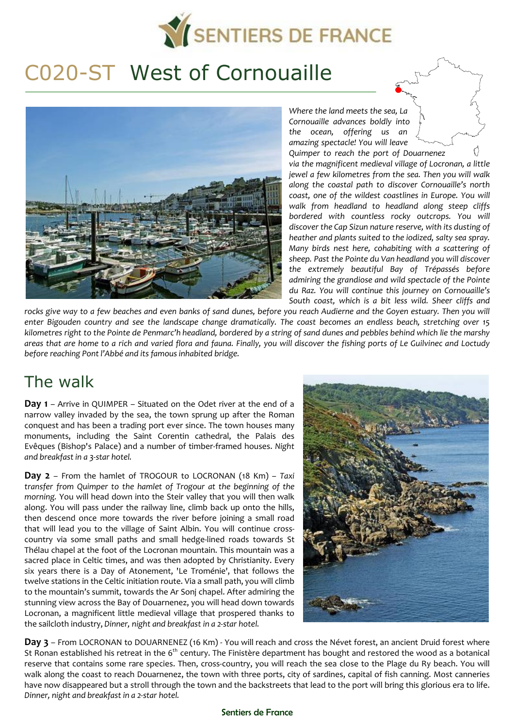

# C020-ST West of Cornouaille



*Cornouaille advances boldly into the ocean, offering us an amazing spectacle! You will leave Quimper to reach the port of Douarnenez via the magnificent medieval village of Locronan, a little jewel a few kilometres from the sea. Then you will walk along the coastal path to discover Cornouaille's north coast, one of the wildest coastlines in Europe. You will walk from headland to headland along steep cliffs bordered with countless rocky outcrops. You will discover the Cap Sizun nature reserve, with its dusting of heather and plants suited to the iodized, salty sea spray. Many birds nest here, cohabiting with a scattering of sheep. Past the Pointe du Van headland you will discover the extremely beautiful Bay of Trépassés before admiring the grandiose and wild spectacle of the Pointe du Raz. You will continue this journey on Cornouaille's South coast, which is a bit less wild. Sheer cliffs and* 

*Where the land meets the sea, La* 

*rocks give way to a few beaches and even banks of sand dunes, before you reach Audierne and the Goyen estuary. Then you will enter Bigouden country and see the landscape change dramatically. The coast becomes an endless beach, stretching over 15 kilometres right to the Pointe de Penmarc'h headland, bordered by a string of sand dunes and pebbles behind which lie the marshy areas that are home to a rich and varied flora and fauna. Finally, you will discover the fishing ports of Le Guilvinec and Loctudy before reaching Pont l'Abbé and its famous inhabited bridge.* 

# The walk

**Day 1** – Arrive in QUIMPER – Situated on the Odet river at the end of a narrow valley invaded by the sea, the town sprung up after the Roman conquest and has been a trading port ever since. The town houses many monuments, including the Saint Corentin cathedral, the Palais des Evêques (Bishop's Palace) and a number of timber-framed houses. *Night and breakfast in a 3-star hotel.* 

**Day 2** – From the hamlet of TROGOUR to LOCRONAN (18 Km) – *Taxi transfer from Quimper to the hamlet of Trogour at the beginning of the morning.* You will head down into the Steir valley that you will then walk along. You will pass under the railway line, climb back up onto the hills, then descend once more towards the river before joining a small road that will lead you to the village of Saint Albin. You will continue crosscountry via some small paths and small hedge-lined roads towards St Thélau chapel at the foot of the Locronan mountain. This mountain was a sacred place in Celtic times, and was then adopted by Christianity. Every six years there is a Day of Atonement, 'Le Troménie', that follows the twelve stations in the Celtic initiation route. Via a small path, you will climb to the mountain's summit, towards the Ar Sonj chapel. After admiring the stunning view across the Bay of Douarnenez, you will head down towards Locronan, a magnificent little medieval village that prospered thanks to the sailcloth industry, *Dinner, night and breakfast in a 2-star hotel.* 



**Day 3** – From LOCRONAN to DOUARNENEZ (16 Km) - You will reach and cross the Névet forest, an ancient Druid forest where St Ronan established his retreat in the 6<sup>th</sup> century. The Finistère department has bought and restored the wood as a botanical reserve that contains some rare species. Then, cross-country, you will reach the sea close to the Plage du Ry beach. You will walk along the coast to reach Douarnenez, the town with three ports, city of sardines, capital of fish canning. Most canneries have now disappeared but a stroll through the town and the backstreets that lead to the port will bring this glorious era to life. *Dinner, night and breakfast in a 2-star hotel.*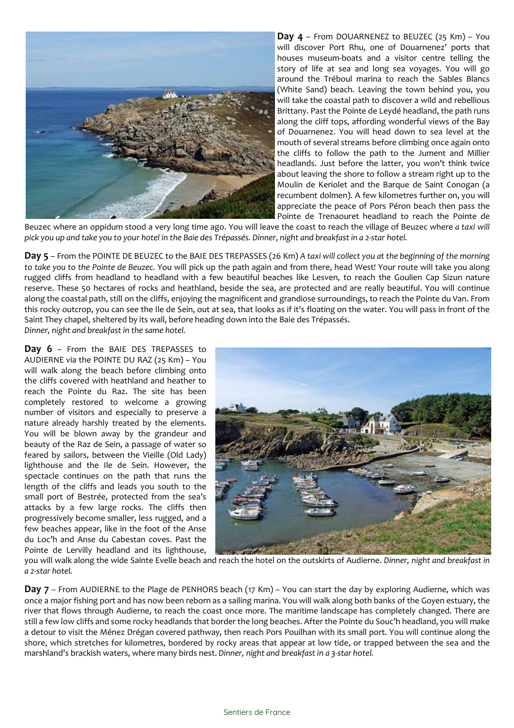

**Day 4** – From DOUARNENEZ to BEUZEC (25 Km) – You will discover Port Rhu, one of Douarnenez' ports that houses museum-boats and a visitor centre telling the story of life at sea and long sea voyages. You will go around the Tréboul marina to reach the Sables Blancs (White Sand) beach. Leaving the town behind you, you will take the coastal path to discover a wild and rebellious Brittany. Past the Pointe de Leydé headland, the path runs along the cliff tops, affording wonderful views of the Bay of Douarnenez. You will head down to sea level at the mouth of several streams before climbing once again onto the cliffs to follow the path to the Jument and Millier headlands. Just before the latter, you won't think twice about leaving the shore to follow a stream right up to the Moulin de Keriolet and the Barque de Saint Conogan (a recumbent dolmen). A few kilometres further on, you will appreciate the peace of Pors Péron beach then pass the Pointe de Trenaouret headland to reach the Pointe de

Beuzec where an oppidum stood a very long time ago. You will leave the coast to reach the village of Beuzec where *a taxi will pick you up and take you to your hotel in the Baie des Trépassés. Dinner, night and breakfast in a 2-star hotel.* 

**Day 5** – From the POINTE DE BEUZEC to the BAIE DES TREPASSES (26 Km) *A taxi will collect you at the beginning of the morning to take you to the Pointe de Beuzec.* You will pick up the path again and from there, head West! Your route will take you along rugged cliffs from headland to headland with a few beautiful beaches like Lesven, to reach the Goulien Cap Sizun nature reserve. These 50 hectares of rocks and heathland, beside the sea, are protected and are really beautiful. You will continue along the coastal path, still on the cliffs, enjoying the magnificent and grandiose surroundings, to reach the Pointe du Van. From this rocky outcrop, you can see the Ile de Sein, out at sea, that looks as if it's floating on the water. You will pass in front of the Saint They chapel, sheltered by its wall, before heading down into the Baie des Trépassés.

*Dinner, night and breakfast in the same hotel.* 

**Day 6** – From the BAIE DES TREPASSES to AUDIERNE via the POINTE DU RAZ (25 Km) – You will walk along the beach before climbing onto the cliffs covered with heathland and heather to reach the Pointe du Raz. The site has been completely restored to welcome a growing number of visitors and especially to preserve a nature already harshly treated by the elements. You will be blown away by the grandeur and beauty of the Raz de Sein, a passage of water so feared by sailors, between the Vieille (Old Lady) lighthouse and the Ile de Sein. However, the spectacle continues on the path that runs the length of the cliffs and leads you south to the small port of Bestrée, protected from the sea's attacks by a few large rocks. The cliffs then progressively become smaller, less rugged, and a few beaches appear, like in the foot of the Anse du Loc'h and Anse du Cabestan coves. Past the Pointe de Lervilly headland and its lighthouse,



you will walk along the wide Sainte Evelle beach and reach the hotel on the outskirts of Audierne. *Dinner, night and breakfast in a 2-star hotel.* 

**Day 7** – From AUDIERNE to the Plage de PENHORS beach (17 Km) – You can start the day by exploring Audierne, which was once a major fishing port and has now been reborn as a sailing marina. You will walk along both banks of the Goyen estuary, the river that flows through Audierne, to reach the coast once more. The maritime landscape has completely changed. There are still a few low cliffs and some rocky headlands that border the long beaches. After the Pointe du Souc'h headland, you will make a detour to visit the Ménez Drégan covered pathway, then reach Pors Pouilhan with its small port. You will continue along the shore, which stretches for kilometres, bordered by rocky areas that appear at low tide, or trapped between the sea and the marshland's brackish waters, where many birds nest. *Dinner, night and breakfast in a 3-star hotel.*